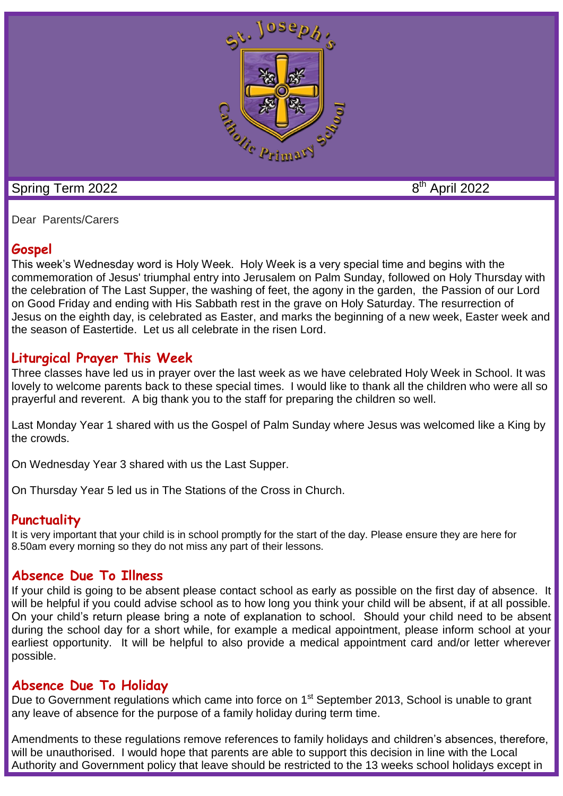

### Spring Term 2022

8<sup>th</sup> April 2022

Dear Parents/Carers

## **Gospel**

This week's Wednesday word is Holy Week. Holy Week is a very special time and begins with the commemoration of Jesus' triumphal entry into [Jerusalem](https://kids.kiddle.co/Jerusalem) on Palm [Sunday,](https://kids.kiddle.co/Palm_Sunday) followed on Holy Thursday with the celebration of The Last [Supper,](https://kids.kiddle.co/Last_Supper) the washing of feet, the agony in the garden, the Passion of our Lord on Good Friday and ending with His [Sabbath](https://kids.kiddle.co/Sabbath) rest in the grave on Holy [Saturday.](https://kids.kiddle.co/Holy_Saturday) The [resurrection](https://kids.kiddle.co/Resurrection_of_Jesus) of [Jesus](https://kids.kiddle.co/Resurrection_of_Jesus) on the eighth day, is celebrated as [Easter,](https://kids.kiddle.co/Easter) and marks the beginning of a new week, Easter week and the season of Eastertide. Let us all celebrate in the risen Lord.

### **Liturgical Prayer This Week**

Three classes have led us in prayer over the last week as we have celebrated Holy Week in School. It was lovely to welcome parents back to these special times. I would like to thank all the children who were all so prayerful and reverent. A big thank you to the staff for preparing the children so well.

Last Monday Year 1 shared with us the Gospel of Palm Sunday where Jesus was welcomed like a King by the crowds.

On Wednesday Year 3 shared with us the Last Supper.

On Thursday Year 5 led us in The Stations of the Cross in Church.

### **Punctuality**

It is very important that your child is in school promptly for the start of the day. Please ensure they are here for 8.50am every morning so they do not miss any part of their lessons.

### **Absence Due To Illness**

If your child is going to be absent please contact school as early as possible on the first day of absence. It will be helpful if you could advise school as to how long you think your child will be absent, if at all possible. On your child's return please bring a note of explanation to school. Should your child need to be absent during the school day for a short while, for example a medical appointment, please inform school at your earliest opportunity. It will be helpful to also provide a medical appointment card and/or letter wherever possible.

### **Absence Due To Holiday**

Due to Government regulations which came into force on 1<sup>st</sup> September 2013, School is unable to grant any leave of absence for the purpose of a family holiday during term time.

Amendments to these regulations remove references to family holidays and children's absences, therefore, will be unauthorised. I would hope that parents are able to support this decision in line with the Local Authority and Government policy that leave should be restricted to the 13 weeks school holidays except in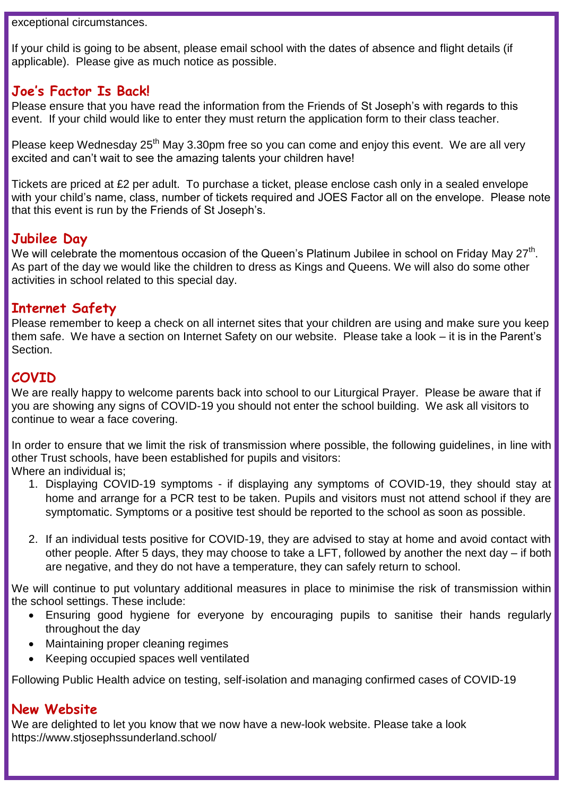exceptional circumstances.

If your child is going to be absent, please email school with the dates of absence and flight details (if applicable). Please give as much notice as possible.

### **Joe's Factor Is Back!**

Please ensure that you have read the information from the Friends of St Joseph's with regards to this event. If your child would like to enter they must return the application form to their class teacher.

Please keep Wednesday  $25<sup>th</sup>$  May 3.30pm free so you can come and enjoy this event. We are all very excited and can't wait to see the amazing talents your children have!

Tickets are priced at £2 per adult. To purchase a ticket, please enclose cash only in a sealed envelope with your child's name, class, number of tickets required and JOES Factor all on the envelope. Please note that this event is run by the Friends of St Joseph's.

### **Jubilee Day**

We will celebrate the momentous occasion of the Queen's Platinum Jubilee in school on Friday May 27<sup>th</sup>. As part of the day we would like the children to dress as Kings and Queens. We will also do some other activities in school related to this special day.

### **Internet Safety**

Please remember to keep a check on all internet sites that your children are using and make sure you keep them safe. We have a section on Internet Safety on our website. Please take a look – it is in the Parent's Section.

## **COVID**

We are really happy to welcome parents back into school to our Liturgical Prayer. Please be aware that if you are showing any signs of COVID-19 you should not enter the school building. We ask all visitors to continue to wear a face covering.

In order to ensure that we limit the risk of transmission where possible, the following quidelines, in line with other Trust schools, have been established for pupils and visitors:

Where an individual is:

- 1. Displaying COVID-19 symptoms if displaying any symptoms of COVID-19, they should stay at home and arrange for a PCR test to be taken. Pupils and visitors must not attend school if they are symptomatic. Symptoms or a positive test should be reported to the school as soon as possible.
- 2. If an individual tests positive for COVID-19, they are advised to stay at home and avoid contact with other people. After 5 days, they may choose to take a LFT, followed by another the next day – if both are negative, and they do not have a temperature, they can safely return to school.

We will continue to put voluntary additional measures in place to minimise the risk of transmission within the school settings. These include:

- Ensuring good hygiene for everyone by encouraging pupils to sanitise their hands regularly throughout the day
- Maintaining proper cleaning regimes
- Keeping occupied spaces well ventilated

Following Public Health advice on testing, self-isolation and managing confirmed cases of COVID-19

### **New Website**

We are delighted to let you know that we now have a new-look website. Please take a look https://www.stjosephssunderland.school/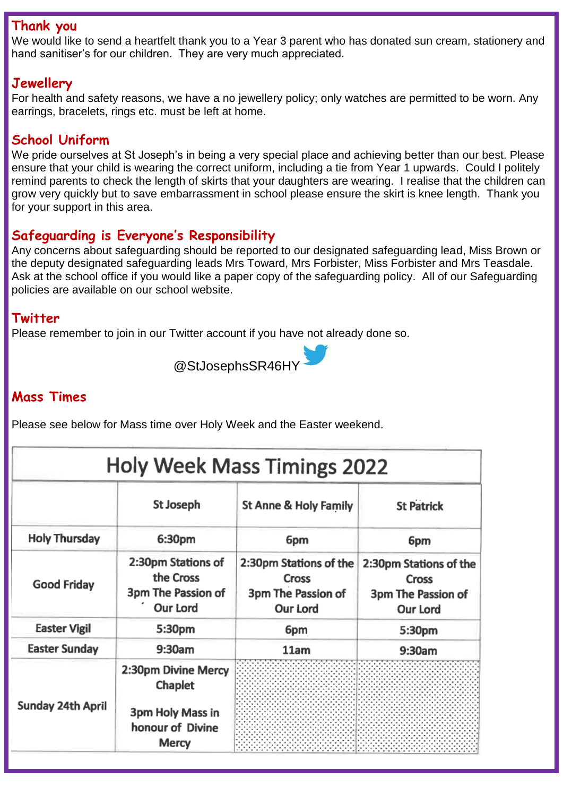#### **Thank you**

We would like to send a heartfelt thank you to a Year 3 parent who has donated sun cream, stationery and hand sanitiser's for our children. They are very much appreciated.

## **Jewellery**

For health and safety reasons, we have a no jewellery policy; only watches are permitted to be worn. Any earrings, bracelets, rings etc. must be left at home.

# **School Uniform**

We pride ourselves at St Joseph's in being a very special place and achieving better than our best. Please ensure that your child is wearing the correct uniform, including a tie from Year 1 upwards. Could I politely remind parents to check the length of skirts that your daughters are wearing. I realise that the children can grow very quickly but to save embarrassment in school please ensure the skirt is knee length. Thank you for your support in this area.

## **Safeguarding is Everyone's Responsibility**

Any concerns about safeguarding should be reported to our designated safeguarding lead, Miss Brown or the deputy designated safeguarding leads Mrs Toward, Mrs Forbister, Miss Forbister and Mrs Teasdale. Ask at the school office if you would like a paper copy of the safeguarding policy. All of our Safeguarding policies are available on our school website.

#### **Twitter**

Please remember to join in our Twitter account if you have not already done so.



## **Mass Times**

Please see below for Mass time over Holy Week and the Easter weekend.

| <b>Holy Week Mass Timings 2022</b> |                                                                          |                                                                          |                                                                                 |
|------------------------------------|--------------------------------------------------------------------------|--------------------------------------------------------------------------|---------------------------------------------------------------------------------|
|                                    | <b>St Joseph</b>                                                         | St Anne & Holy Family                                                    | <b>St Patrick</b>                                                               |
| <b>Holy Thursday</b>               | 6:30pm                                                                   | 6pm                                                                      | 6pm                                                                             |
| <b>Good Friday</b>                 | 2:30pm Stations of<br>the Cross<br>3pm The Passion of<br><b>Our Lord</b> | 2:30pm Stations of the<br>Cross<br>3pm The Passion of<br><b>Our Lord</b> | 2:30pm Stations of the<br><b>Cross</b><br>3pm The Passion of<br><b>Our Lord</b> |
| <b>Easter Vigil</b>                | 5:30pm                                                                   | 6pm                                                                      | 5:30pm                                                                          |
| <b>Easter Sunday</b>               | 9:30am                                                                   | 11am                                                                     | 9:30am                                                                          |
| Sunday 24th April                  | 2:30pm Divine Mercy<br><b>Chaplet</b>                                    |                                                                          |                                                                                 |
|                                    | 3pm Holy Mass in<br>honour of Divine<br><b>Mercy</b>                     |                                                                          |                                                                                 |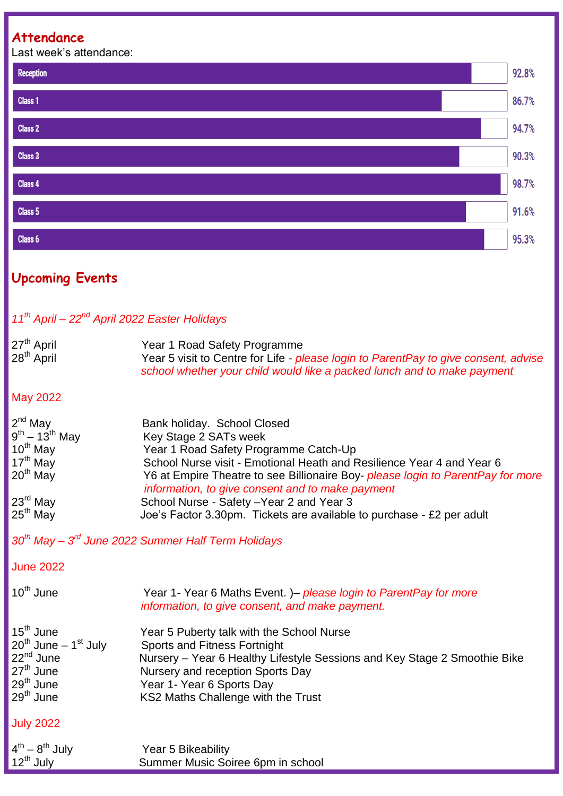## **Attendance**

Last week's attendance:



# **Upcoming Events**

# *11th April – 22nd April 2022 Easter Holidays*

| 27 <sup>th</sup> April | Year 1 Road Safety Programme                                                        |
|------------------------|-------------------------------------------------------------------------------------|
| 28 <sup>th</sup> April | Year 5 visit to Centre for Life - please login to ParentPay to give consent, advise |
|                        | school whether your child would like a packed lunch and to make payment             |

#### May 2022

| $2nd$ May                            | Bank holiday. School Closed                                                     |
|--------------------------------------|---------------------------------------------------------------------------------|
| $9^{\text{th}} - 13^{\text{th}}$ May | Key Stage 2 SATs week                                                           |
| $10^{th}$ May                        | Year 1 Road Safety Programme Catch-Up                                           |
| $17th$ May                           | School Nurse visit - Emotional Heath and Resilience Year 4 and Year 6           |
| $20th$ May                           | Y6 at Empire Theatre to see Billionaire Boy- please login to ParentPay for more |
|                                      | information, to give consent and to make payment                                |
| $23^{\text{rd}}$ May                 | School Nurse - Safety - Year 2 and Year 3                                       |
| $25th$ May                           | Joe's Factor 3.30pm. Tickets are available to purchase - £2 per adult           |

*30th May – 3 rd June 2022 Summer Half Term Holidays*

#### June 2022

| 10 <sup>th</sup> June                                                                                                                                     | Year 1- Year 6 Maths Event. )– please login to ParentPay for more<br>information, to give consent, and make payment.                                                                                                                                          |
|-----------------------------------------------------------------------------------------------------------------------------------------------------------|---------------------------------------------------------------------------------------------------------------------------------------------------------------------------------------------------------------------------------------------------------------|
| 15 <sup>th</sup> June<br>$20^{th}$ June – 1 <sup>st</sup> July<br>22 <sup>nd</sup> June<br>$27th$ June<br>29 <sup>th</sup> June<br>⊧29 <sup>th</sup> June | Year 5 Puberty talk with the School Nurse<br>Sports and Fitness Fortnight<br>Nursery – Year 6 Healthy Lifestyle Sessions and Key Stage 2 Smoothie Bike<br>Nursery and reception Sports Day<br>Year 1- Year 6 Sports Day<br>KS2 Maths Challenge with the Trust |
| July 2022                                                                                                                                                 |                                                                                                                                                                                                                                                               |

| $4^{th} - 8^{th}$ July | Year 5 Bikeability                |
|------------------------|-----------------------------------|
| $12^{th}$ July         | Summer Music Soiree 6pm in school |